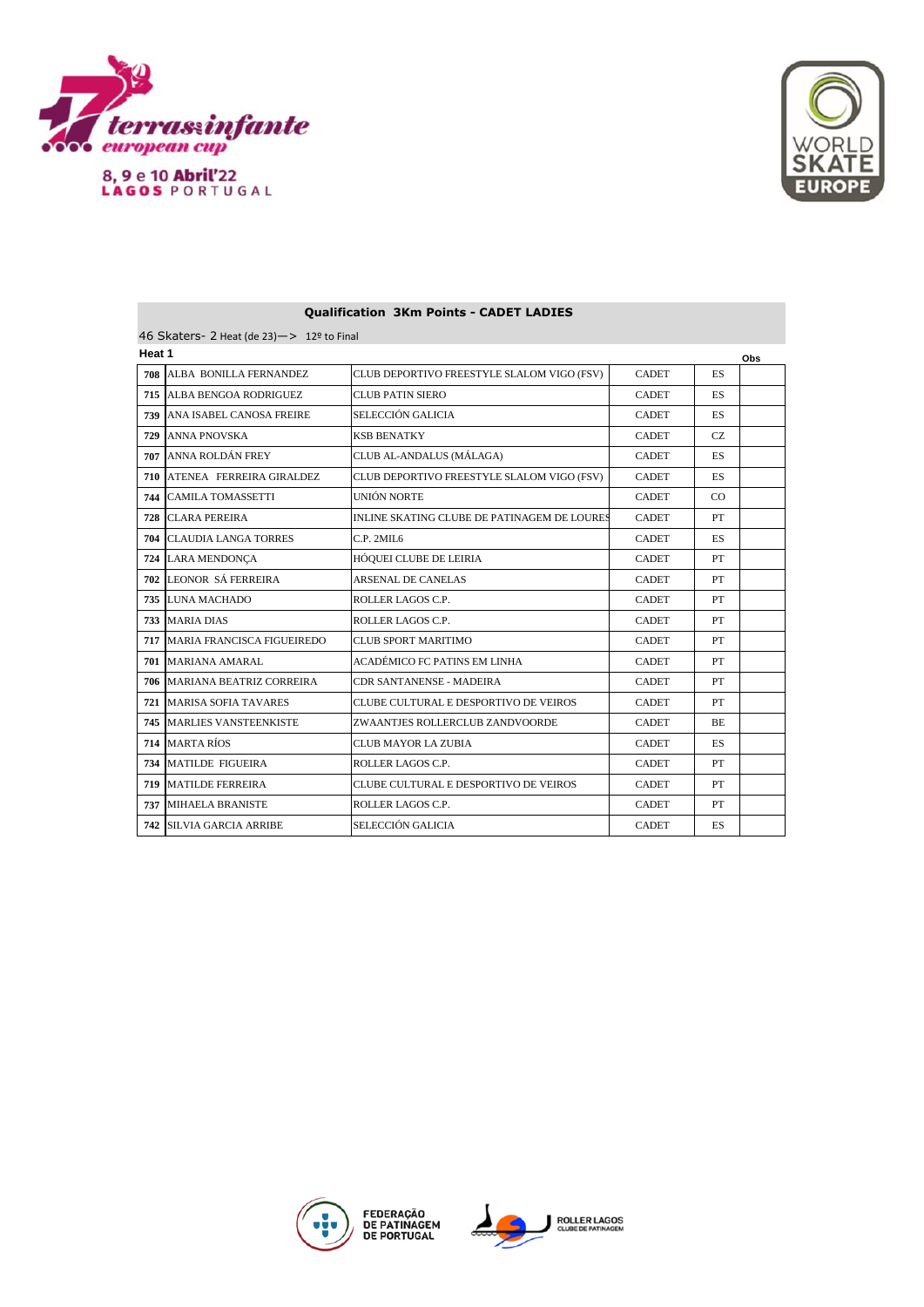



| 46 Skaters- 2 Heat (de 23) $-$ > 12 <sup>o</sup> to Final |                              |                                             |              |           |  |  |  |  |  |
|-----------------------------------------------------------|------------------------------|---------------------------------------------|--------------|-----------|--|--|--|--|--|
| Heat 1                                                    |                              |                                             |              |           |  |  |  |  |  |
| 708                                                       | ALBA BONILLA FERNANDEZ       | CLUB DEPORTIVO FREESTYLE SLALOM VIGO (FSV)  | <b>CADET</b> | ES        |  |  |  |  |  |
| 715                                                       | ALBA BENGOA RODRIGUEZ        | <b>CLUB PATIN SIERO</b>                     | <b>CADET</b> | <b>ES</b> |  |  |  |  |  |
| 739                                                       | ANA ISABEL CANOSA FREIRE     | SELECCIÓN GALICIA                           | <b>CADET</b> | ES.       |  |  |  |  |  |
| 729                                                       | <b>ANNA PNOVSKA</b>          | <b>KSB BENATKY</b>                          | <b>CADET</b> | <b>CZ</b> |  |  |  |  |  |
| 707                                                       | ANNA ROLDÁN FREY             | CLUB AL-ANDALUS (MÁLAGA)                    | <b>CADET</b> | <b>ES</b> |  |  |  |  |  |
| 710                                                       | ATENEA FERREIRA GIRALDEZ     | CLUB DEPORTIVO FREESTYLE SLALOM VIGO (FSV)  | <b>CADET</b> | <b>ES</b> |  |  |  |  |  |
| 744                                                       | <b>CAMILA TOMASSETTI</b>     | UNIÓN NORTE                                 | <b>CADET</b> | CO        |  |  |  |  |  |
| 728                                                       | <b>CLARA PEREIRA</b>         | INLINE SKATING CLUBE DE PATINAGEM DE LOURES | <b>CADET</b> | PT        |  |  |  |  |  |
| 704                                                       | <b>CLAUDIA LANGA TORRES</b>  | C.P. 2MIL6                                  | <b>CADET</b> | <b>ES</b> |  |  |  |  |  |
| 724                                                       | <b>LARA MENDONÇA</b>         | <b>HÓQUEI CLUBE DE LEIRIA</b>               | <b>CADET</b> | PT        |  |  |  |  |  |
| 702                                                       | <b>LEONOR SÁ FERREIRA</b>    | <b>ARSENAL DE CANELAS</b>                   | <b>CADET</b> | PT        |  |  |  |  |  |
| 735                                                       | LUNA MACHADO                 | ROLLER LAGOS C.P.                           | <b>CADET</b> | PT        |  |  |  |  |  |
| 733                                                       | <b>MARIA DIAS</b>            | ROLLER LAGOS C.P.                           | <b>CADET</b> | PT        |  |  |  |  |  |
| 717                                                       | MARIA FRANCISCA FIGUEIREDO   | <b>CLUB SPORT MARITIMO</b>                  | <b>CADET</b> | PT        |  |  |  |  |  |
|                                                           | 701 MARIANA AMARAL           | ACADÉMICO FC PATINS EM LINHA                | <b>CADET</b> | PT        |  |  |  |  |  |
| 706                                                       | MARIANA BEATRIZ CORREIRA     | CDR SANTANENSE - MADEIRA                    | <b>CADET</b> | PT        |  |  |  |  |  |
| 721                                                       | <b>MARISA SOFIA TAVARES</b>  | CLUBE CULTURAL E DESPORTIVO DE VEIROS       | <b>CADET</b> | PT        |  |  |  |  |  |
| 745                                                       | <b>MARLIES VANSTEENKISTE</b> | ZWAANTJES ROLLERCLUB ZANDVOORDE             | <b>CADET</b> | BE.       |  |  |  |  |  |
| 714                                                       | <b>MARTA RÍOS</b>            | CLUB MAYOR LA ZUBIA                         | <b>CADET</b> | ES        |  |  |  |  |  |
| 734                                                       | <b>MATILDE FIGUEIRA</b>      | ROLLER LAGOS C.P.                           | <b>CADET</b> | PT        |  |  |  |  |  |
| 719                                                       | <b>MATILDE FERREIRA</b>      | CLUBE CULTURAL E DESPORTIVO DE VEIROS       | <b>CADET</b> | PT        |  |  |  |  |  |
| 737                                                       | <b>MIHAELA BRANISTE</b>      | ROLLER LAGOS C.P.                           | <b>CADET</b> | PT        |  |  |  |  |  |
| 742                                                       | <b>SILVIA GARCIA ARRIBE</b>  | SELECCIÓN GALICIA                           | <b>CADET</b> | ES        |  |  |  |  |  |

## **Qualification 3Km Points - CADET LADIES**